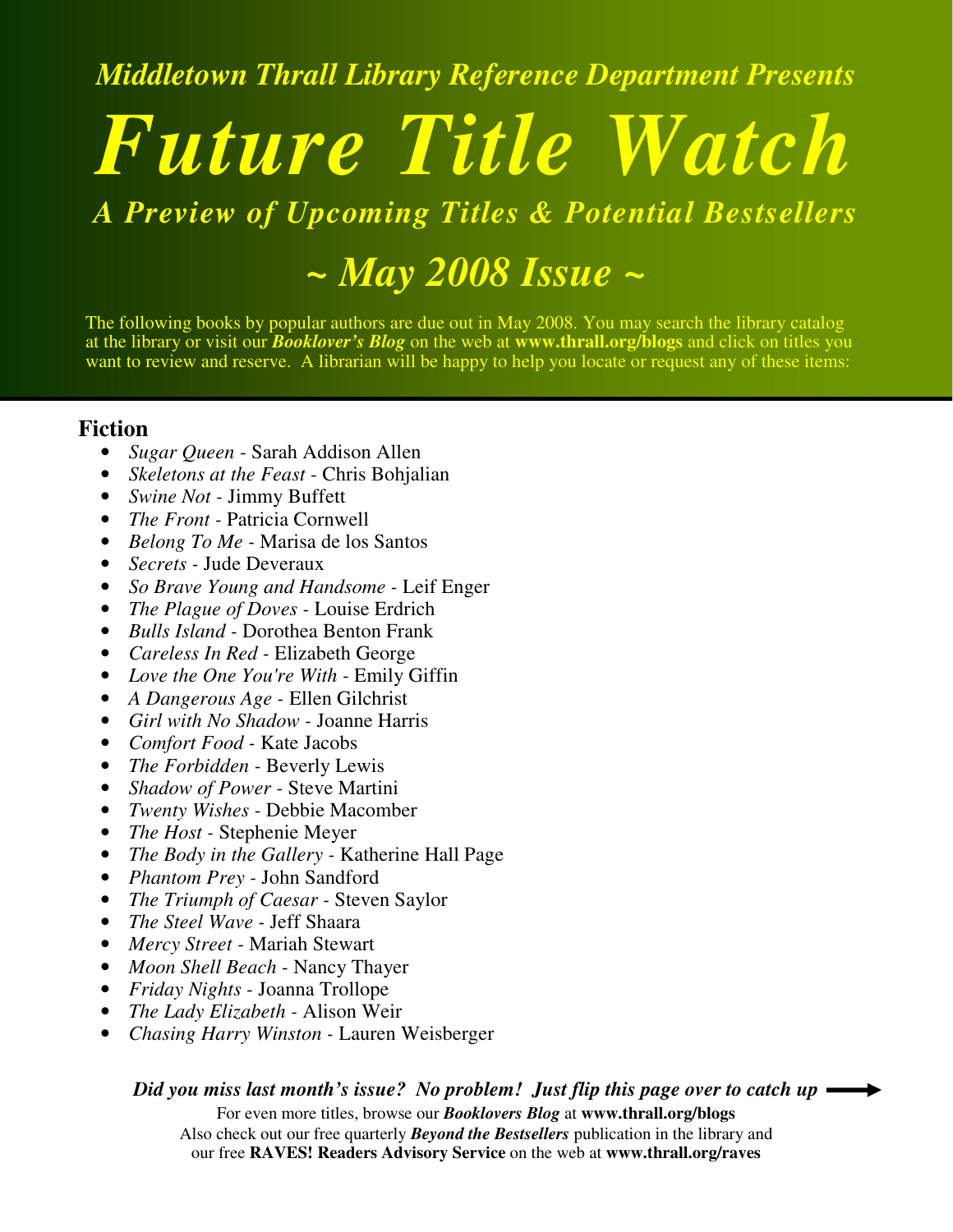*Middletown Thrall Library Reference Department Presents*

# *Future Title Watch*

*A Preview of Upcoming Titles & Potential Bestsellers*

*~ May 2008 Issue ~*

The following books by popular authors are due out in May 2008. You may search the library catalog at the library or visit our *Booklover's Blog* on the web at **www.thrall.org/blogs** and click on titles you want to review and reserve. A librarian will be happy to help you locate or request any of these items:

### **Fiction**

- *Sugar Queen -* Sarah Addison Allen
- *Skeletons at the Feast -* Chris Bohjalian
- *Swine Not -* Jimmy Buffett
- *The Front -* Patricia Cornwell
- *Belong To Me -* Marisa de los Santos
- *Secrets -* Jude Deveraux
- *So Brave Young and Handsome -* Leif Enger
- *The Plague of Doves -* Louise Erdrich
- *Bulls Island -* Dorothea Benton Frank
- *Careless In Red -* Elizabeth George
- *Love the One You're With -* Emily Giffin
- *A Dangerous Age -* Ellen Gilchrist
- *Girl with No Shadow -* Joanne Harris
- *Comfort Food -* Kate Jacobs
- *The Forbidden -* Beverly Lewis
- *Shadow of Power -* Steve Martini
- *Twenty Wishes -* Debbie Macomber
- *The Host -* Stephenie Meyer
- *The Body in the Gallery -* Katherine Hall Page
- *Phantom Prey -* John Sandford
- *The Triumph of Caesar -* Steven Saylor
- *The Steel Wave -* Jeff Shaara
- *Mercy Street -* Mariah Stewart
- *Moon Shell Beach -* Nancy Thayer
- *Friday Nights -* Joanna Trollope
- *The Lady Elizabeth -* Alison Weir
- *Chasing Harry Winston -* Lauren Weisberger

*Did you miss last month's issue? No problem! Just flip this page over to catch up*

For even more titles, browse our *Booklovers Blog* at **www.thrall.org/blogs** Also check out our free quarterly *Beyond the Bestsellers* publication in the library and our free **RAVES! Readers Advisory Service** on the web at **www.thrall.org/raves**